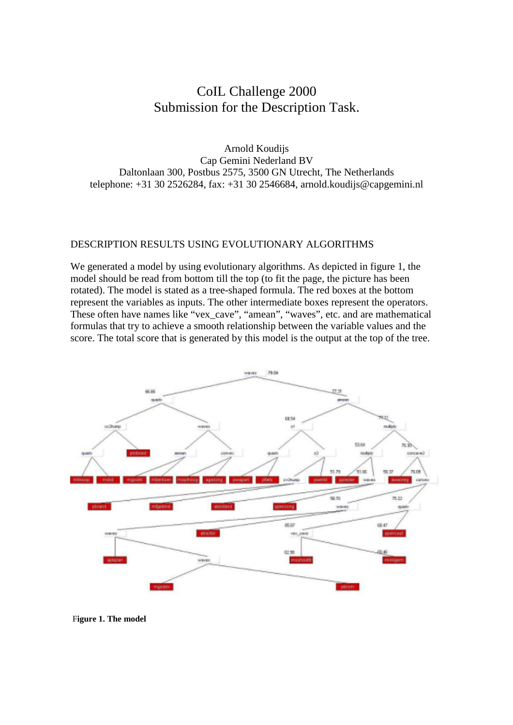## CoIL Challenge 2000 Submission for the Description Task.

Arnold Koudijs Cap Gemini Nederland BV Daltonlaan 300, Postbus 2575, 3500 GN Utrecht, The Netherlands telephone: +31 30 2526284, fax: +31 30 2546684, arnold.koudijs@capgemini.nl

## DESCRIPTION RESULTS USING EVOLUTIONARY ALGORITHMS

We generated a model by using evolutionary algorithms. As depicted in figure 1, the model should be read from bottom till the top (to fit the page, the picture has been rotated). The model is stated as a tree-shaped formula. The red boxes at the bottom represent the variables as inputs. The other intermediate boxes represent the operators. These often have names like "vex\_cave", "amean", "waves", etc. and are mathematical formulas that try to achieve a smooth relationship between the variable values and the score. The total score that is generated by this model is the output at the top of the tree.



F**igure 1. The model**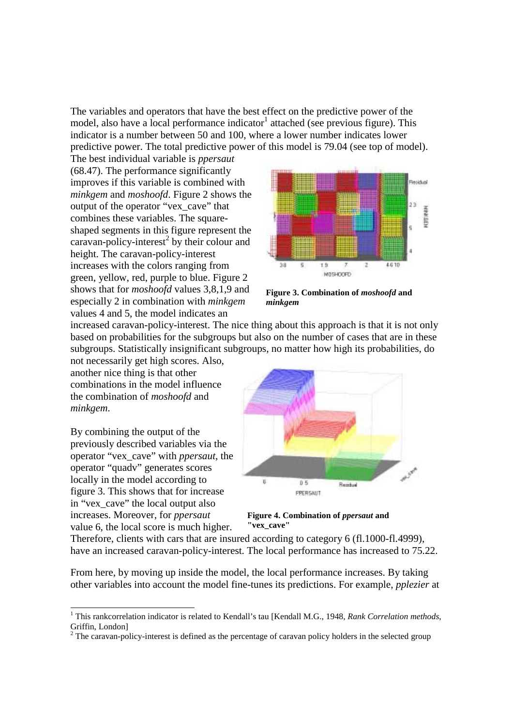The variables and operators that have the best effect on the predictive power of the model, also have a local performance indicator attached (see previous figure). This indicator is a number between 50 and 100, where a lower number indicates lower predictive power. The total predictive power of this model is 79.04 (see top of model).

The best individual variable is *ppersaut* (68.47). The performance significantly improves if this variable is combined with *minkgem* and *moshoofd*. Figure 2 shows the output of the operator "vex\_cave" that combines these variables. The squareshaped segments in this figure represent the caravan-policy-interest<sup>2</sup> by their colour and height. The caravan-policy-interest increases with the colors ranging from green, yellow, red, purple to blue. Figure 2 shows that for *moshoofd* values 3,8,1,9 and especially 2 in combination with *minkgem* values 4 and 5, the model indicates an



**Figure 3. Combination of** *moshoofd* **and** *minkgem*

increased caravan-policy-interest. The nice thing about this approach is that it is not only based on probabilities for the subgroups but also on the number of cases that are in these subgroups. Statistically insignificant subgroups, no matter how high its probabilities, do

not necessarily get high scores. Also, another nice thing is that other combinations in the model influence the combination of *moshoofd* and *minkgem*.

By combining the output of the previously described variables via the operator "vex\_cave" with *ppersaut*, the operator "quadv" generates scores locally in the model according to figure 3. This shows that for increase in "vex\_cave" the local output also increases. Moreover, for *ppersaut* value 6, the local score is much higher.

-



**Figure 4. Combination of** *ppersaut* **and "vex\_cave"**

Therefore, clients with cars that are insured according to category 6 (fl.1000-fl.4999), have an increased caravan-policy-interest. The local performance has increased to 75.22.

From here, by moving up inside the model, the local performance increases. By taking other variables into account the model fine-tunes its predictions. For example, *pplezier* at

<sup>1</sup> This rankcorrelation indicator is related to Kendall's tau [Kendall M.G., 1948, *Rank Correlation methods*, Griffin, London]

 $2$  The caravan-policy-interest is defined as the percentage of caravan policy holders in the selected group